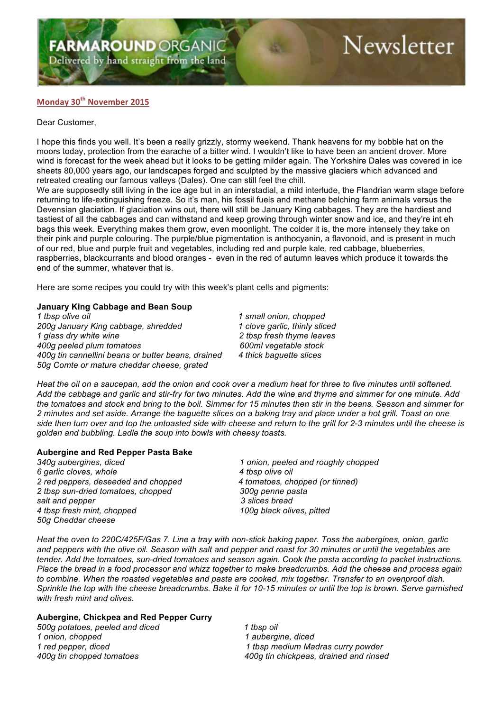## **FARMAROUND ORGANIC**

Delivered by hand straight from the land

# Newsletter

### **Monday 30th November 2015**

#### Dear Customer,

I hope this finds you well. It's been a really grizzly, stormy weekend. Thank heavens for my bobble hat on the moors today, protection from the earache of a bitter wind. I wouldn't like to have been an ancient drover. More wind is forecast for the week ahead but it looks to be getting milder again. The Yorkshire Dales was covered in ice sheets 80,000 years ago, our landscapes forged and sculpted by the massive glaciers which advanced and retreated creating our famous valleys (Dales). One can still feel the chill.

We are supposedly still living in the ice age but in an interstadial, a mild interlude, the Flandrian warm stage before returning to life-extinguishing freeze. So it's man, his fossil fuels and methane belching farm animals versus the Devensian glaciation. If glaciation wins out, there will still be January King cabbages. They are the hardiest and tastiest of all the cabbages and can withstand and keep growing through winter snow and ice, and they're int eh bags this week. Everything makes them grow, even moonlight. The colder it is, the more intensely they take on their pink and purple colouring. The purple/blue pigmentation is anthocyanin, a flavonoid, and is present in much of our red, blue and purple fruit and vegetables, including red and purple kale, red cabbage, blueberries, raspberries, blackcurrants and blood oranges - even in the red of autumn leaves which produce it towards the end of the summer, whatever that is.

Here are some recipes you could try with this week's plant cells and pigments:

#### **January King Cabbage and Bean Soup**

*1 tbsp olive oil 1 small onion, chopped 200g January King cabbage, shredded 1 clove garlic, thinly sliced 1 glass dry white wine 2 tbsp fresh thyme leaves 400g peeled plum tomatoes 600ml vegetable stock 400g tin cannellini beans or butter beans, drained 4 thick baguette slices 50g Comte or mature cheddar cheese, grated*

*Heat the oil on a saucepan, add the onion and cook over a medium heat for three to five minutes until softened. Add the cabbage and garlic and stir-fry for two minutes. Add the wine and thyme and simmer for one minute. Add the tomatoes and stock and bring to the boil. Simmer for 15 minutes then stir in the beans. Season and simmer for 2 minutes and set aside. Arrange the baguette slices on a baking tray and place under a hot grill. Toast on one side then turn over and top the untoasted side with cheese and return to the grill for 2-3 minutes until the cheese is golden and bubbling. Ladle the soup into bowls with cheesy toasts.*

#### **Aubergine and Red Pepper Pasta Bake**

*340g aubergines, diced 1 onion, peeled and roughly chopped 6 garlic cloves, whole 4 tbsp olive oil 2 red peppers, deseeded and chopped 4 tomatoes, chopped (or tinned) 2 tbsp sun-dried tomatoes, chopped 300g penne pasta salt and pepper 3 slices bread 4 tbsp fresh mint, chopped 100g black olives, pitted 50g Cheddar cheese* 

*Heat the oven to 220C/425F/Gas 7. Line a tray with non-stick baking paper. Toss the aubergines, onion, garlic and peppers with the olive oil. Season with salt and pepper and roast for 30 minutes or until the vegetables are tender. Add the tomatoes, sun-dried tomatoes and season again. Cook the pasta according to packet instructions. Place the bread in a food processor and whizz together to make breadcrumbs. Add the cheese and process again to combine. When the roasted vegetables and pasta are cooked, mix together. Transfer to an ovenproof dish. Sprinkle the top with the cheese breadcrumbs. Bake it for 10-15 minutes or until the top is brown. Serve garnished with fresh mint and olives.*

#### **Aubergine, Chickpea and Red Pepper Curry**

*500g potatoes, peeled and diced 1 tbsp oil 1 onion, chopped 1 aubergine, diced*

*1 red pepper, diced 1 tbsp medium Madras curry powder 400g tin chopped tomatoes 400g tin chickpeas, drained and rinsed*